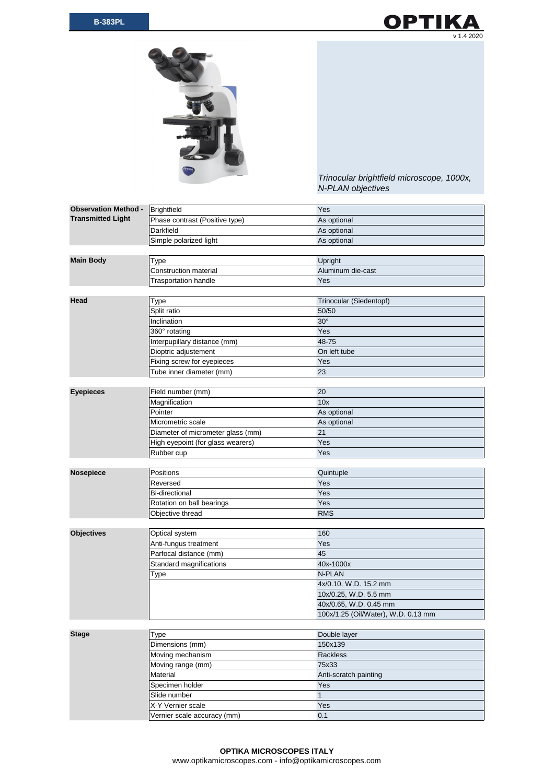



*Trinocular brightfield microscope, 1000x, N-PLAN objectives*

| <b>Observation Method -</b> | <b>Brightfield</b>                | Yes                                 |
|-----------------------------|-----------------------------------|-------------------------------------|
| <b>Transmitted Light</b>    | Phase contrast (Positive type)    | As optional                         |
|                             | <b>Darkfield</b>                  | As optional                         |
|                             | Simple polarized light            | As optional                         |
|                             |                                   |                                     |
| <b>Main Body</b>            | <b>Type</b>                       | Upright                             |
|                             | <b>Construction material</b>      | Aluminum die-cast                   |
|                             | <b>Trasportation handle</b>       | Yes                                 |
|                             |                                   |                                     |
| Head                        | <b>Type</b>                       | Trinocular (Siedentopf)             |
|                             | Split ratio                       | 50/50                               |
|                             | Inclination                       | $30^\circ$                          |
|                             | 360° rotating                     | Yes                                 |
|                             | Interpupillary distance (mm)      | 48-75                               |
|                             | Dioptric adjustement              | On left tube                        |
|                             | Fixing screw for eyepieces        | Yes                                 |
|                             | Tube inner diameter (mm)          | 23                                  |
|                             |                                   |                                     |
| <b>Eyepieces</b>            | Field number (mm)                 | 20                                  |
|                             | Magnification                     | 10x                                 |
|                             | Pointer                           | As optional                         |
|                             | Micrometric scale                 | As optional                         |
|                             | Diameter of micrometer glass (mm) | 21                                  |
|                             | High eyepoint (for glass wearers) | Yes                                 |
|                             | Rubber cup                        | Yes                                 |
|                             |                                   |                                     |
| <b>Nosepiece</b>            | Positions                         | Quintuple                           |
|                             | Reversed                          | Yes                                 |
|                             | <b>Bi-directional</b>             | Yes                                 |
|                             | Rotation on ball bearings         | Yes                                 |
|                             | Objective thread                  | <b>RMS</b>                          |
|                             |                                   |                                     |
| <b>Objectives</b>           | Optical system                    | 160                                 |
|                             | Anti-fungus treatment             | Yes                                 |
|                             | Parfocal distance (mm)            | 45                                  |
|                             | Standard magnifications           | 40x-1000x                           |
|                             | <b>Type</b>                       | N-PLAN                              |
|                             |                                   | 4x/0.10, W.D. 15.2 mm               |
|                             |                                   | 10x/0.25, W.D. 5.5 mm               |
|                             |                                   | 40x/0.65, W.D. 0.45 mm              |
|                             |                                   | 100x/1.25 (Oil/Water), W.D. 0.13 mm |
|                             |                                   |                                     |
| <b>Stage</b>                | Type                              | Double layer                        |
|                             | Dimensions (mm)                   | 150x139                             |
|                             | Moving mechanism                  | Rackless                            |
|                             | Moving range (mm)                 | 75x33                               |
|                             | Material                          | Anti-scratch painting               |
|                             | Specimen holder                   | Yes                                 |
|                             | Slide number                      | $\mathbf 1$                         |
|                             | X-Y Vernier scale                 | Yes                                 |
|                             | Vernier scale accuracy (mm)       | 0.1                                 |